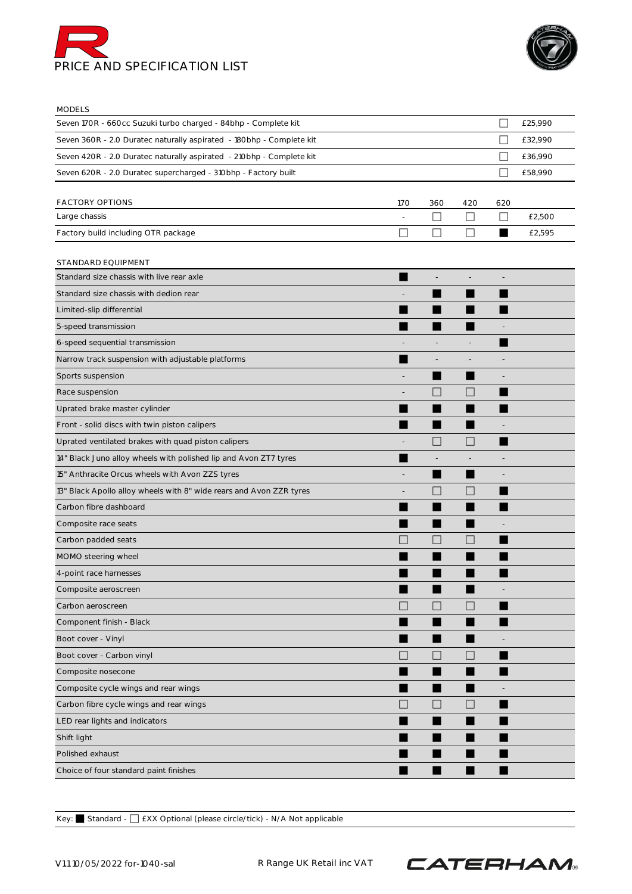



MODELS

| <b>IVIUDLLJ</b>                                                      |              |              |                          |                             |         |
|----------------------------------------------------------------------|--------------|--------------|--------------------------|-----------------------------|---------|
| Seven 170R - 660cc Suzuki turbo charged - 84bhp - Complete kit       |              |              |                          |                             | £25,990 |
| Seven 360R - 2.0 Duratec naturally aspirated - 180bhp - Complete kit |              |              |                          | ×                           | £32,990 |
| Seven 420R - 2.0 Duratec naturally aspirated - 210bhp - Complete kit |              |              |                          |                             | £36,990 |
| Seven 620R - 2.0 Duratec supercharged - 310bhp - Factory built       |              |              |                          | $\mathcal{L}_{\mathcal{A}}$ | £58,990 |
|                                                                      |              |              |                          |                             |         |
| FACTORY OPTIONS                                                      | <b>170</b>   | 360          | 420                      | 620                         |         |
| Large chassis                                                        |              | □            | $\Box$                   | $\Box$                      | £2,500  |
| Factory build including OTR package                                  | $\mathsf{L}$ | $\mathsf{L}$ | $\mathsf{L}$             | ▅                           | £2,595  |
| STANDARD EQUIPMENT                                                   |              |              |                          |                             |         |
| Standard size chassis with live rear axle                            |              |              |                          |                             |         |
| Standard size chassis with dedion rear                               |              |              |                          |                             |         |
| Limited-slip differential                                            |              |              |                          |                             |         |
| 5-speed transmission                                                 |              |              |                          |                             |         |
| 6-speed sequential transmission                                      |              |              |                          |                             |         |
| Narrow track suspension with adjustable platforms                    |              |              |                          |                             |         |
| Sports suspension                                                    |              |              |                          |                             |         |
| Race suspension                                                      |              | r.           |                          |                             |         |
| Uprated brake master cylinder                                        |              |              |                          |                             |         |
| Front - solid discs with twin piston calipers                        |              |              |                          |                             |         |
| Uprated ventilated brakes with quad piston calipers                  |              |              | L                        |                             |         |
| 14" Black Juno alloy wheels with polished lip and Avon ZT7 tyres     |              |              |                          |                             |         |
| 15" Anthracite Orcus wheels with Avon ZZS tyres                      |              |              |                          |                             |         |
| 13" Black Apollo alloy wheels with 8" wide rears and Avon ZZR tyres  |              | r.           |                          |                             |         |
| Carbon fibre dashboard                                               |              |              |                          |                             |         |
| Composite race seats                                                 |              |              |                          |                             |         |
| Carbon padded seats                                                  |              | H            |                          |                             |         |
| MOMO steering wheel                                                  |              |              |                          |                             |         |
| 4-point race harnesses                                               |              |              |                          |                             |         |
| Composite aeroscreen                                                 |              |              |                          |                             |         |
| Carbon aeroscreen                                                    | H            | $\Box$       | $\Box$                   |                             |         |
| Component finish - Black                                             |              | ▅            |                          | ▅                           |         |
| Boot cover - Vinyl                                                   |              |              |                          |                             |         |
| Boot cover - Carbon vinyl                                            | П            | $\Box$       | $\overline{\phantom{a}}$ |                             |         |
| Composite nosecone                                                   |              | ш            | ▅                        |                             |         |
| Composite cycle wings and rear wings                                 |              |              | ▅                        |                             |         |
| Carbon fibre cycle wings and rear wings                              |              | $\Box$       | $\Box$                   |                             |         |
| LED rear lights and indicators                                       |              | ■            | ▅                        |                             |         |
| Shift light                                                          |              |              |                          |                             |         |
| Polished exhaust                                                     |              |              |                          |                             |         |
| Choice of four standard paint finishes                               |              | ■            | ٠                        |                             |         |

Key: ⬛ Standard - ⬜ £XX Optional (please circle/tick) - N/A Not applicable

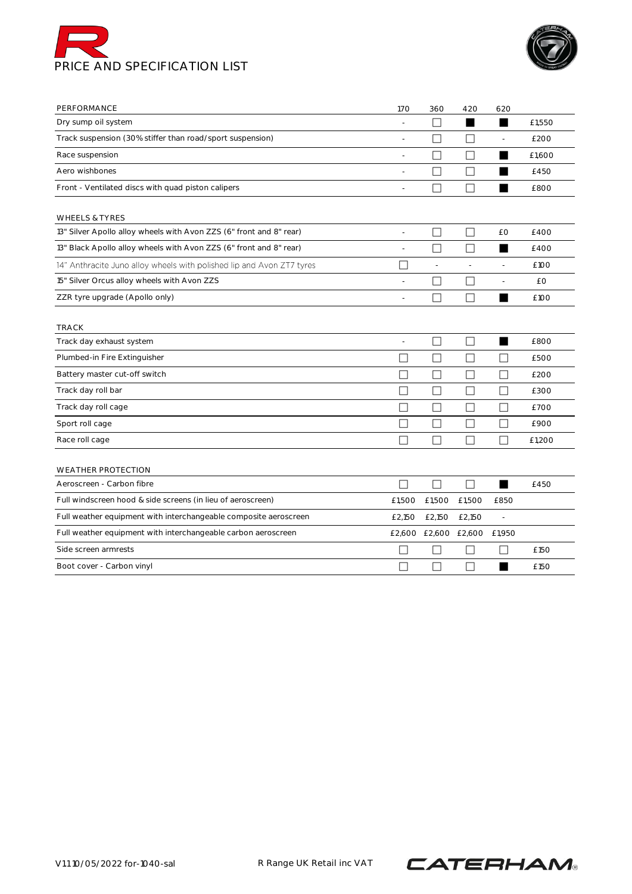



| PERFORMANCE                                                           | 170               | 360                         | 420            | 620                      |        |
|-----------------------------------------------------------------------|-------------------|-----------------------------|----------------|--------------------------|--------|
| Dry sump oil system                                                   |                   | $\Box$                      | ш              |                          | £1,550 |
| Track suspension (30% stiffer than road/sport suspension)             |                   | П                           | П              |                          | £200   |
| Race suspension                                                       | L,                |                             | П              |                          | £1,600 |
| Aero wishbones                                                        |                   |                             | П              |                          | £450   |
| Front - Ventilated discs with quad piston calipers                    | ÷                 |                             | П              |                          | £800   |
| <b>WHEELS &amp; TYRES</b>                                             |                   |                             |                |                          |        |
| 13" Silver Apollo alloy wheels with Avon ZZS (6" front and 8" rear)   | $\overline{a}$    | П                           | П              | £Ο                       | £400   |
| 13" Black Apollo alloy wheels with Avon ZZS (6" front and 8" rear)    |                   |                             | Г              |                          | £400   |
| 14" Anthracite Juno alloy wheels with polished lip and Avon ZT7 tyres | ×                 | $\overline{\phantom{a}}$    | $\overline{a}$ | $\overline{\phantom{a}}$ | £100   |
| 15" Silver Orcus alloy wheels with Avon ZZS                           | ÷                 | $\mathsf{L}$                | $\mathsf{L}$   |                          | £Ο     |
| ZZR tyre upgrade (Apollo only)                                        | L,                | $\mathsf{L}$                | П              | ▅                        | £100   |
| <b>TRACK</b>                                                          |                   |                             |                |                          |        |
| Track day exhaust system                                              | $\sim$            | $\mathbf{L}$                |                | ш                        | £800   |
| Plumbed-in Fire Extinguisher                                          | $\vert \ \ \vert$ |                             | L              |                          | £500   |
| Battery master cut-off switch                                         | П                 | $\mathcal{L}_{\mathcal{A}}$ | П              | П                        | £200   |
| Track day roll bar                                                    | $\Box$            | $\mathsf{L}$                | $\Box$         | $\mathsf{L}$             | £300   |
| Track day roll cage                                                   | $\Box$            | П                           | $\Box$         | П                        | £700   |
| Sport roll cage                                                       | П                 | $\Box$                      | ш              | L                        | £900   |
| Race roll cage                                                        | $\Box$            | П                           | $\Box$         | П                        | £1,200 |
| <b>WEATHER PROTECTION</b>                                             |                   |                             |                |                          |        |
| Aeroscreen - Carbon fibre                                             | П                 | П                           | П              | ■                        | £450   |
| Full windscreen hood & side screens (in lieu of aeroscreen)           | £1,500            | £1,500                      | £1,500         | £850                     |        |
| Full weather equipment with interchangeable composite aeroscreen      | £2,150            | £2,150                      | £2,150         | $\overline{\phantom{a}}$ |        |
| Full weather equipment with interchangeable carbon aeroscreen         |                   | £2,600 £2,600 £2,600        |                | £1,950                   |        |
| Side screen armrests                                                  |                   |                             |                |                          | £150   |
| Boot cover - Carbon vinyl                                             |                   |                             | $\mathbf{L}$   | ш                        | £150   |

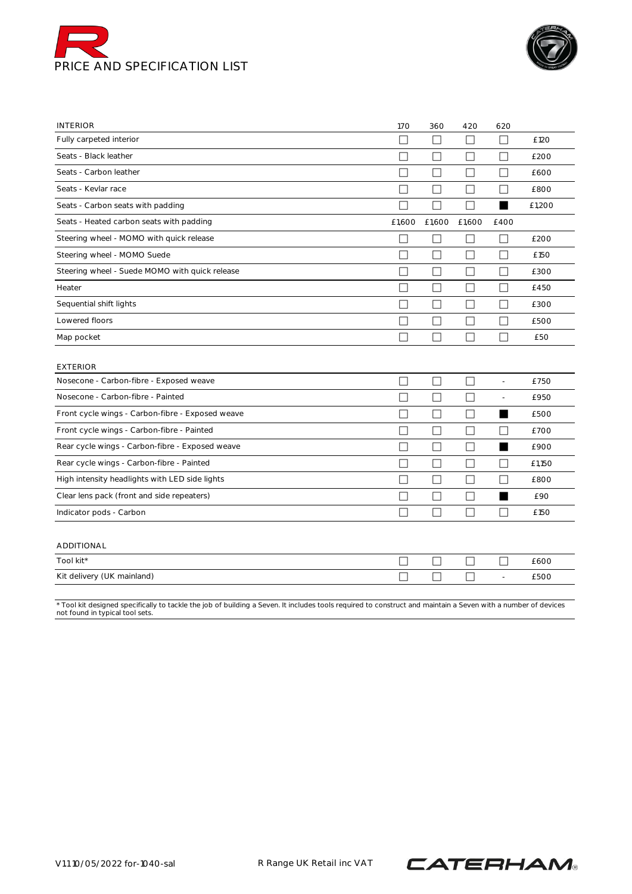



| <b>INTERIOR</b>                                                                                                                                                                                  | 170          | 360    | 420                         | 620                      |        |
|--------------------------------------------------------------------------------------------------------------------------------------------------------------------------------------------------|--------------|--------|-----------------------------|--------------------------|--------|
| Fully carpeted interior                                                                                                                                                                          | L            | $\Box$ | $\mathsf{L}$                | $\mathcal{L}$            | £120   |
| Seats - Black leather                                                                                                                                                                            | $\mathbf{L}$ | ⊔      | $\Box$                      | $\overline{\phantom{a}}$ | £200   |
| Seats - Carbon leather                                                                                                                                                                           | П            | $\Box$ | П                           | $\Box$                   | £600   |
| Seats - Kevlar race                                                                                                                                                                              | П            | $\Box$ | П                           | П                        | £800   |
| Seats - Carbon seats with padding                                                                                                                                                                | $\Box$       | П      | П                           | ▅                        | £1,200 |
| Seats - Heated carbon seats with padding                                                                                                                                                         | £1,600       | £1,600 | £1,600                      | £400                     |        |
| Steering wheel - MOMO with quick release                                                                                                                                                         | $\Box$       | □      | $\mathsf{L}$                | П                        | £200   |
| Steering wheel - MOMO Suede                                                                                                                                                                      | П            | П      | П                           | П                        | £150   |
| Steering wheel - Suede MOMO with quick release                                                                                                                                                   | $\Box$       | $\Box$ | $\Box$                      | $\Box$                   | £300   |
| Heater                                                                                                                                                                                           | $\Box$       | П      | П                           | П                        | £450   |
| Sequential shift lights                                                                                                                                                                          | $\Box$       | $\Box$ | $\Box$                      | П                        | £300   |
| Lowered floors                                                                                                                                                                                   | П            | П      | $\Box$                      | $\Box$                   | £500   |
| Map pocket                                                                                                                                                                                       | П            | $\Box$ | $\Box$                      | П                        | £50    |
| <b>EXTERIOR</b>                                                                                                                                                                                  |              |        |                             |                          |        |
| Nosecone - Carbon-fibre - Exposed weave                                                                                                                                                          | $\Box$       | П      | П                           | $\overline{\phantom{a}}$ | £750   |
| Nosecone - Carbon-fibre - Painted                                                                                                                                                                | $\Box$       | $\Box$ | П                           | ÷,                       | £950   |
| Front cycle wings - Carbon-fibre - Exposed weave                                                                                                                                                 | $\Box$       | $\Box$ | $\Box$                      | ш                        | £500   |
| Front cycle wings - Carbon-fibre - Painted                                                                                                                                                       | $\Box$       | $\Box$ | $\Box$                      | П                        | £700   |
| Rear cycle wings - Carbon-fibre - Exposed weave                                                                                                                                                  | $\Box$       | $\Box$ | $\mathcal{L}_{\mathcal{A}}$ | ■                        | £900   |
| Rear cycle wings - Carbon-fibre - Painted                                                                                                                                                        | $\Box$       | $\Box$ | $\Box$                      | П                        | £1,150 |
| High intensity headlights with LED side lights                                                                                                                                                   | $\Box$       | $\Box$ | $\Box$                      | $\Box$                   | £800   |
| Clear lens pack (front and side repeaters)                                                                                                                                                       | П            | П      | $\Box$                      | ■                        | £90    |
| Indicator pods - Carbon                                                                                                                                                                          | П            | П      | П                           | $\Box$                   | £150   |
| ADDITIONAL                                                                                                                                                                                       |              |        |                             |                          |        |
| Tool kit*                                                                                                                                                                                        | $\Box$       | $\Box$ | Ш                           | $\Box$                   | £600   |
| Kit delivery (UK mainland)                                                                                                                                                                       | П            | П      | Г                           | $\frac{1}{2}$            | £500   |
| * Tool kit designed specifically to tackle the job of building a Seven. It includes tools required to construct and maintain a Seven with a number of devices<br>not found in typical tool sets. |              |        |                             |                          |        |

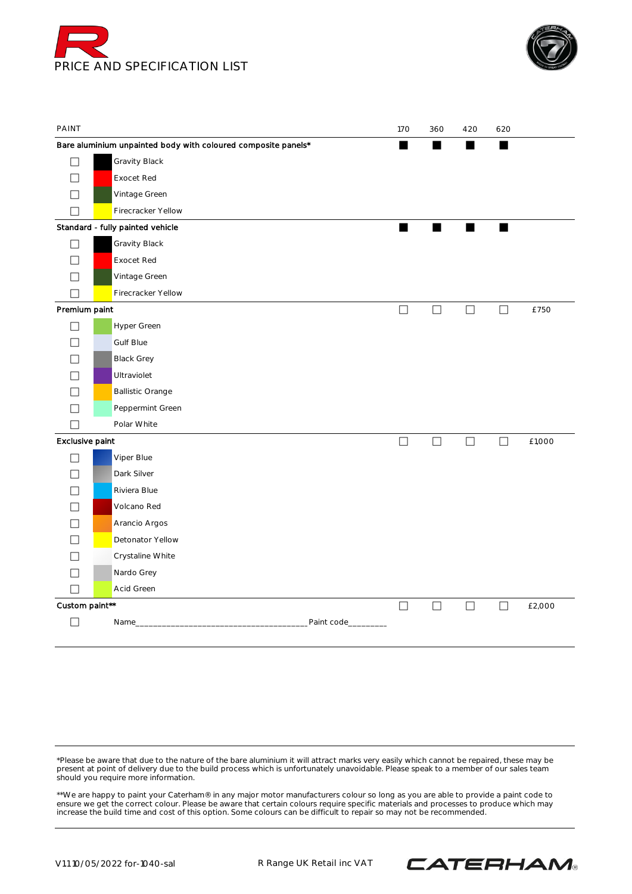



| PAINT                    |                                                               | 170    | 360    | 420    | 620    |        |
|--------------------------|---------------------------------------------------------------|--------|--------|--------|--------|--------|
|                          | Bare aluminium unpainted body with coloured composite panels* | ш      | ٠      | ш      |        |        |
| $\perp$                  | Gravity Black                                                 |        |        |        |        |        |
| П                        | <b>Exocet Red</b>                                             |        |        |        |        |        |
| $\overline{\phantom{a}}$ | Vintage Green                                                 |        |        |        |        |        |
| $\mathcal{L}$            | Firecracker Yellow                                            |        |        |        |        |        |
|                          | Standard - fully painted vehicle                              | ٠      |        | ٠      | ٠      |        |
| $\vert \ \ \vert$        | Gravity Black                                                 |        |        |        |        |        |
| П                        | <b>Exocet Red</b>                                             |        |        |        |        |        |
| $\Box$                   | Vintage Green                                                 |        |        |        |        |        |
| $\mathcal{L}$            | Firecracker Yellow                                            |        |        |        |        |        |
| Premium paint            |                                                               | $\Box$ | □      | $\Box$ | $\Box$ | £750   |
| П                        | Hyper Green                                                   |        |        |        |        |        |
| $\overline{\phantom{a}}$ | Gulf Blue                                                     |        |        |        |        |        |
| $\overline{\phantom{a}}$ | <b>Black Grey</b>                                             |        |        |        |        |        |
|                          | Ultraviolet                                                   |        |        |        |        |        |
| $\overline{\phantom{a}}$ | <b>Ballistic Orange</b>                                       |        |        |        |        |        |
| $\mathsf{L}$             | Peppermint Green                                              |        |        |        |        |        |
| ۰                        | Polar White                                                   |        |        |        |        |        |
| Exclusive paint          |                                                               | $\Box$ | $\Box$ | $\Box$ | $\Box$ | £1,000 |
| $\Box$                   | Viper Blue                                                    |        |        |        |        |        |
| $\overline{\phantom{a}}$ | Dark Silver                                                   |        |        |        |        |        |
|                          | Riviera Blue                                                  |        |        |        |        |        |
| $\overline{\phantom{a}}$ | Volcano Red                                                   |        |        |        |        |        |
| $\sim$                   | Arancio Argos                                                 |        |        |        |        |        |
| $\overline{\phantom{a}}$ | Detonator Yellow                                              |        |        |        |        |        |
|                          | Crystaline White                                              |        |        |        |        |        |
| $\overline{\phantom{a}}$ | Nardo Grey                                                    |        |        |        |        |        |
| $\Box$                   | Acid Green                                                    |        |        |        |        |        |
| Custom paint**           |                                                               | $\Box$ | $\Box$ | $\Box$ | $\Box$ | £2,000 |
|                          | Name_<br>Paint code_                                          |        |        |        |        |        |
|                          |                                                               |        |        |        |        |        |

\*Please be aware that due to the nature of the bare aluminium it will attract marks very easily which cannot be repaired, these may be present at point of delivery due to the build process which is unfortunately unavoidable. Please speak to a member of our sales team should you require more information.

\*\*We are happy to paint your Caterham® in any major motor manufacturers colour so long as you are able to provide a paint code to ensure we get the correct colour. Please be aware that certain colours require specific materials and processes to produce which may increase the build time and cost of this option. Some colours can be difficult to repair so may not be recommended.

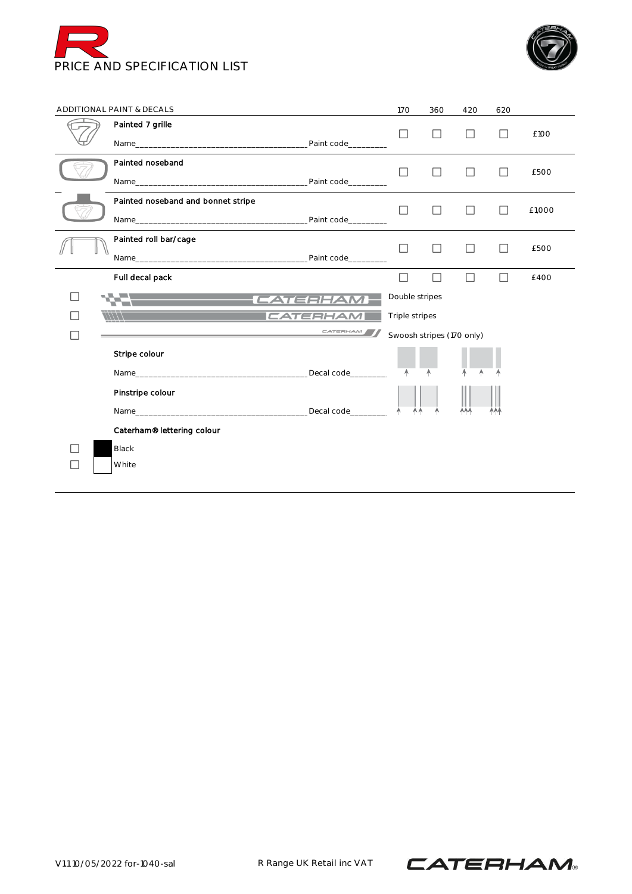



|              | ADDITIONAL PAINT & DECALS                                                                            |                      | <b>170</b>                                  | 360          | 420    | 620          |        |
|--------------|------------------------------------------------------------------------------------------------------|----------------------|---------------------------------------------|--------------|--------|--------------|--------|
|              | Painted 7 grille                                                                                     |                      | $\Box$                                      |              |        |              | £100   |
|              | Painted noseband                                                                                     |                      | $\Box$                                      | П            | П      | $\Box$       | £500   |
|              | Painted noseband and bonnet stripe                                                                   |                      | $\Box$                                      | $\Box$       | П      | П            | £1,000 |
|              | Painted roll bar/cage                                                                                |                      | П                                           | $\mathbf{I}$ | ΙI     | $\mathbf{I}$ | £500   |
|              | Full decal pack                                                                                      |                      | $\perp$                                     |              | $\Box$ | $\perp$      | £400   |
| $\mathsf{L}$ |                                                                                                      | -CATERHAM-           | Double stripes                              |              |        |              |        |
|              | $\frac{1}{11111}$<br>the contract of the contract of the contract of the contract of the contract of | CATERHAM<br>CATERHAM | Triple stripes<br>Swoosh stripes (170 only) |              |        |              |        |
|              | Stripe colour                                                                                        |                      | A                                           |              |        |              |        |
|              | Pinstripe colour                                                                                     |                      |                                             |              | AAA    |              |        |
|              | Caterham® lettering colour                                                                           |                      |                                             |              |        |              |        |
|              | <b>Black</b><br>White                                                                                |                      |                                             |              |        |              |        |
|              |                                                                                                      |                      |                                             |              |        |              |        |

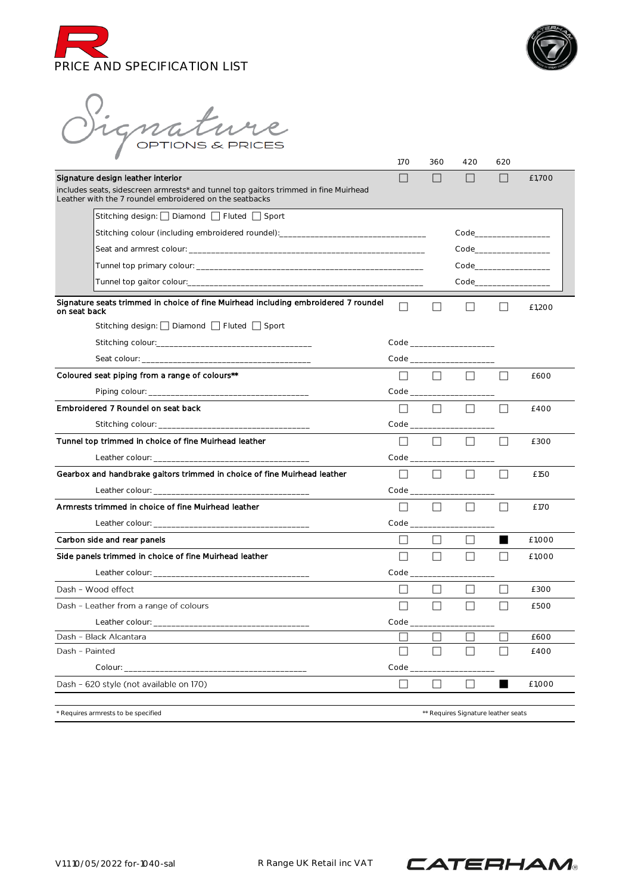



Signature

|                                                                                                                                                                                                                                | 170                                 | 360                | 420                                 | 620                                      |        |
|--------------------------------------------------------------------------------------------------------------------------------------------------------------------------------------------------------------------------------|-------------------------------------|--------------------|-------------------------------------|------------------------------------------|--------|
| Signature design leather interior                                                                                                                                                                                              | $\mathsf{L}$                        |                    | $\Box$                              | $\mathsf{L}$                             | £1,700 |
| includes seats, sidescreen armrests* and tunnel top gaitors trimmed in fine Muirhead<br>Leather with the 7 roundel embroidered on the seatbacks                                                                                |                                     |                    |                                     |                                          |        |
| Stitching design:     Diamond     Fluted     Sport                                                                                                                                                                             |                                     |                    |                                     |                                          |        |
| Stitching colour (including embroidered roundel):_______________________________                                                                                                                                               |                                     |                    |                                     |                                          |        |
|                                                                                                                                                                                                                                |                                     |                    |                                     |                                          |        |
| Tunnel top primary colour: with a state of the control of the control of the control of the control of the control of the control of the control of the control of the control of the control of the control of the control of |                                     |                    |                                     |                                          |        |
|                                                                                                                                                                                                                                |                                     |                    |                                     | Code in the code of the code of the code |        |
| Signature seats trimmed in choice of fine Muirhead including embroidered 7 roundel<br>on seat back                                                                                                                             | $\Box$                              |                    | ΙI                                  | $\perp$                                  | £1,200 |
| Stitching design: □ Diamond □ Fluted □ Sport                                                                                                                                                                                   |                                     |                    |                                     |                                          |        |
|                                                                                                                                                                                                                                |                                     |                    |                                     |                                          |        |
|                                                                                                                                                                                                                                |                                     |                    |                                     |                                          |        |
| Coloured seat piping from a range of colours**                                                                                                                                                                                 | $\perp$                             | $\Box$             | $\Box$                              | $\Box$                                   | £600   |
|                                                                                                                                                                                                                                | Code                                |                    |                                     |                                          |        |
| Embroidered 7 Roundel on seat back                                                                                                                                                                                             | $\Box$                              | $\Box$             | П                                   | $\Box$                                   | £400   |
|                                                                                                                                                                                                                                |                                     | Code _____________ |                                     |                                          |        |
| Tunnel top trimmed in choice of fine Muirhead leather                                                                                                                                                                          | П                                   | П                  | $\Box$                              | П                                        | £300   |
|                                                                                                                                                                                                                                | $Code$ <sub><math>\_\_</math></sub> |                    |                                     |                                          |        |
| Gearbox and handbrake gaitors trimmed in choice of fine Muirhead leather                                                                                                                                                       | $\Box$                              | П                  | П                                   | П                                        | £150   |
|                                                                                                                                                                                                                                |                                     | Code ____________  |                                     |                                          |        |
| Armrests trimmed in choice of fine Muirhead leather                                                                                                                                                                            | ΙI                                  | П                  | ΙI                                  | $\mathsf{L}$                             | £170   |
|                                                                                                                                                                                                                                |                                     | Code __________    |                                     |                                          |        |
| Carbon side and rear panels                                                                                                                                                                                                    | ΙI                                  | $\perp$            | ⊔                                   |                                          | £1,000 |
| Side panels trimmed in choice of fine Muirhead leather                                                                                                                                                                         | П                                   | П                  | П                                   | $\Box$                                   | £1,000 |
|                                                                                                                                                                                                                                |                                     |                    |                                     |                                          |        |
| Dash - Wood effect                                                                                                                                                                                                             | ΙI                                  | $\perp$            | $\mathsf{L}$                        |                                          | £300   |
| Dash - Leather from a range of colours                                                                                                                                                                                         | $\mathsf{L}$                        | $\perp$            | $\Box$                              | $\Box$                                   | £500   |
|                                                                                                                                                                                                                                | $Code$ $\_\_$                       |                    |                                     |                                          |        |
| Dash - Black Alcantara                                                                                                                                                                                                         |                                     |                    |                                     |                                          | £600   |
| Dash - Painted                                                                                                                                                                                                                 | $\mathbf{I}$                        |                    | $\overline{\phantom{0}}$            |                                          | £400   |
| Colour: _                                                                                                                                                                                                                      | Code                                |                    |                                     |                                          |        |
| Dash - 620 style (not available on 170)                                                                                                                                                                                        | П                                   |                    | H                                   |                                          | £1,000 |
| * Requires armrests to be specified                                                                                                                                                                                            |                                     |                    | ** Requires Signature leather seats |                                          |        |

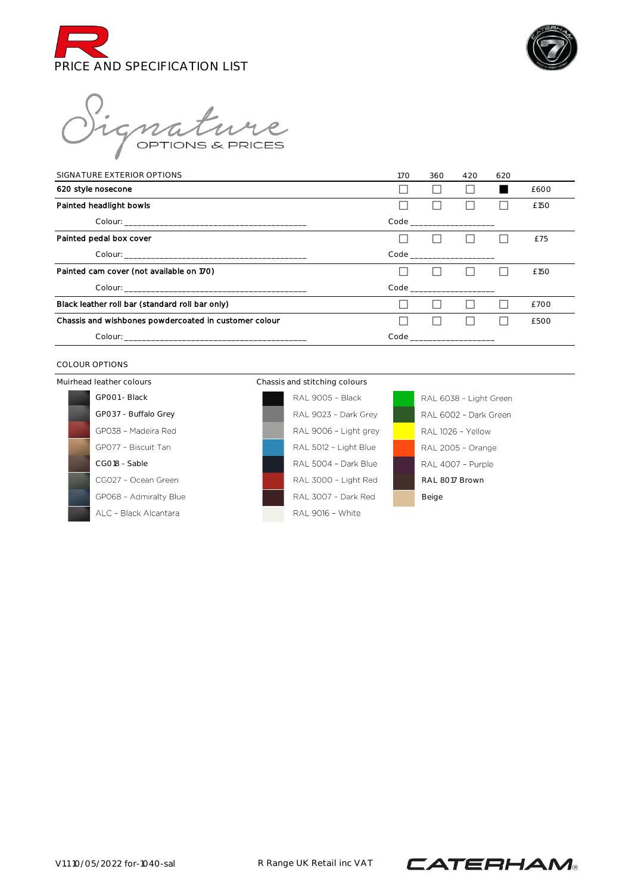



nature

| SIGNATURE EXTERIOR OPTIONS                            | 170 | 360 | 420                           | 620 |      |
|-------------------------------------------------------|-----|-----|-------------------------------|-----|------|
| 620 style nosecone                                    |     |     |                               |     | £600 |
| Painted headlight bowls                               |     |     |                               |     | £150 |
|                                                       |     |     | Code __________________       |     |      |
| Painted pedal box cover                               |     |     |                               |     | £75  |
|                                                       |     |     | Code ________________________ |     |      |
| Painted cam cover (not available on 170)              |     |     |                               |     | £150 |
|                                                       |     |     |                               |     |      |
| Black leather roll bar (standard roll bar only)       |     |     |                               |     | £700 |
| Chassis and wishbones powdercoated in customer colour |     |     |                               |     | £500 |
|                                                       |     |     | Code ___________________      |     |      |

### COLOUR OPTIONS

Muirhead leather colours Chassis and stitching colours





RAL 6038 - Light Green RAL 6002 - Dark Green RAL 1026 - Yellow RAL 2005 - Orange RAL 4007 - Purple RAL 8017 Brown Beige